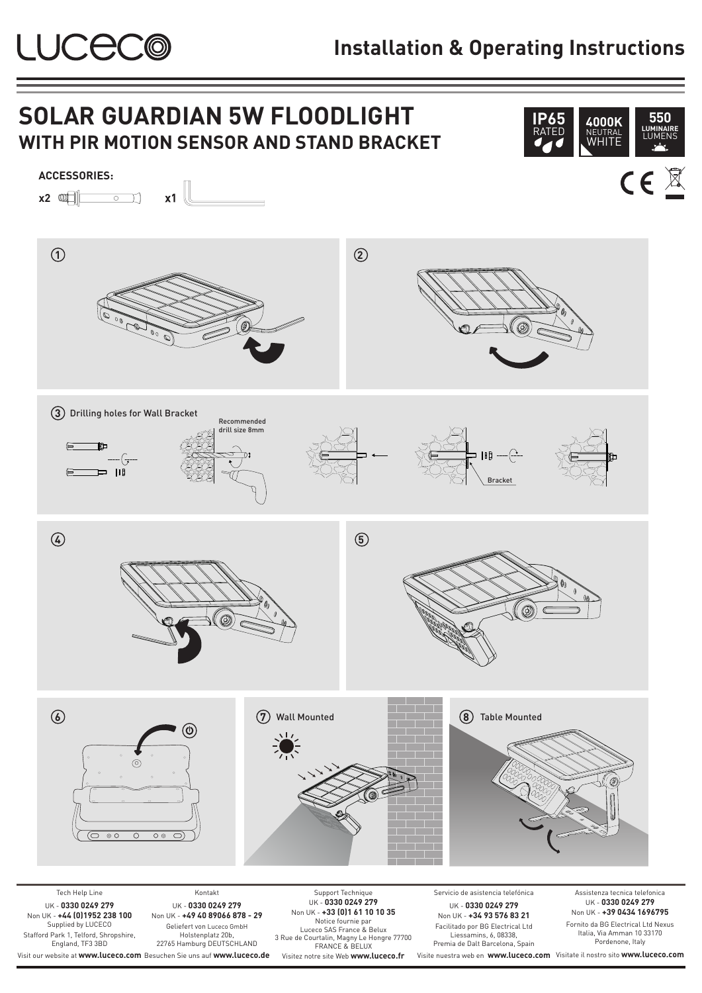